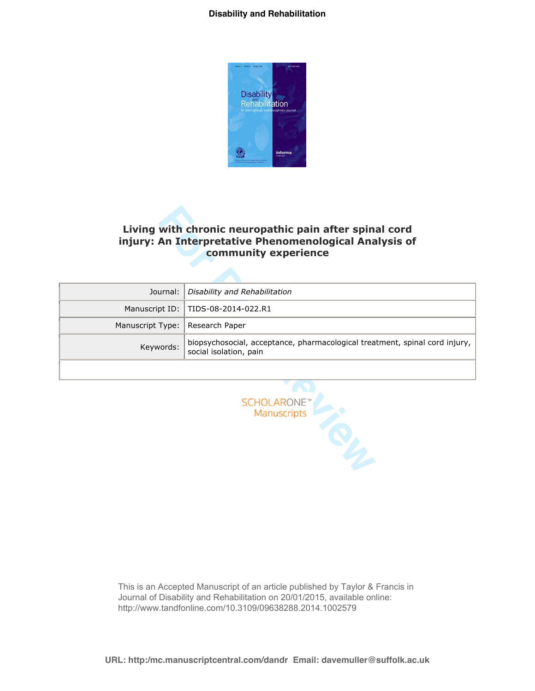#### **Disability and Rehabilitation**



### Living with chronic neuropathic pain after spinal cord **injury: An Interpretative Phenomenological Analysis of community experience**

|                  | Living with chronic neuropathic pain after spinal cord<br>injury: An Interpretative Phenomenological Analysis of<br>community experience |
|------------------|------------------------------------------------------------------------------------------------------------------------------------------|
| Journal:         | Disability and Rehabilitation                                                                                                            |
| Manuscript ID:   | TIDS-08-2014-022.R1                                                                                                                      |
| Manuscript Type: | Research Paper                                                                                                                           |
| Keywords:        | biopsychosocial, acceptance, pharmacological treatment, spinal cord injury,<br>social isolation, pain                                    |
|                  |                                                                                                                                          |
|                  | <b>SCHOLARONE</b><br><b>Manuscripts</b>                                                                                                  |



This is an Accepted Manuscript of an article published by Taylor & Francis in Journal of Disability and Rehabilitation on 20/01/2015, available online: http://www.tandfonline.com/10.3109/09638288.2014.1002579

**URL: http:/mc.manuscriptcentral.com/dandr Email: davemuller@suffolk.ac.uk**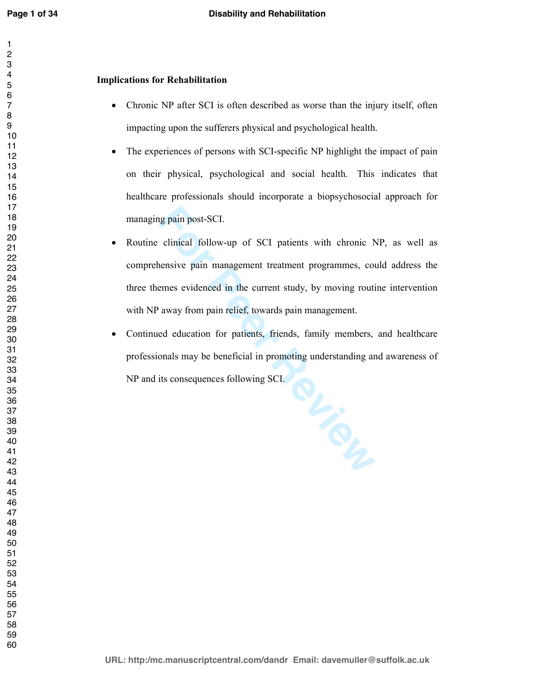#### **Implications for Rehabilitation**

- Chronic NP after SCI is often described as worse than the injury itself, often impacting upon the sufferers physical and psychological health.
- The experiences of persons with SCI-specific NP highlight the impact of pain on their physical, psychological and social health. This indicates that healthcare professionals should incorporate a biopsychosocial approach for managing pain post-SCI.
- Routine clinical follow-up of SCI patients with chronic NP, as well as comprehensive pain management treatment programmes, could address the three themes evidenced in the current study, by moving routine intervention with NP away from pain relief, towards pain management.
- Continued education for patients, friends, family members, and healthcare professionals may be beneficial in promoting understanding and awareness of NP and its consequences following SCI.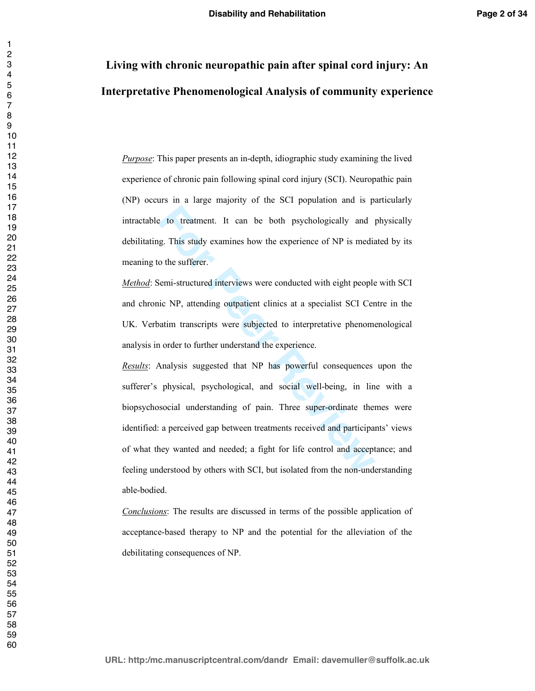# **Living with chronic neuropathic pain after spinal cord injury: An Interpretative Phenomenological Analysis of community experience**

*Purpose*: This paper presents an in-depth, idiographic study examining the lived experience of chronic pain following spinal cord injury (SCI). Neuropathic pain (NP) occurs in a large majority of the SCI population and is particularly intractable to treatment. It can be both psychologically and physically debilitating. This study examines how the experience of NP is mediated by its meaning to the sufferer.

*Method*: Semi-structured interviews were conducted with eight people with SCI and chronic NP, attending outpatient clinics at a specialist SCI Centre in the UK. Verbatim transcripts were subjected to interpretative phenomenological analysis in order to further understand the experience.

External It can be both psychologically and positive the stream of NP is media<br>of the sufferer.<br>Semi-structured interviews were conducted with eight people<br>inc NP, attending outpatient clinics at a specialist SCI Central<br>a *Results*: Analysis suggested that NP has powerful consequences upon the sufferer's physical, psychological, and social well-being, in line with a biopsychosocial understanding of pain. Three super-ordinate themes were identified: a perceived gap between treatments received and participants' views of what they wanted and needed; a fight for life control and acceptance; and feeling understood by others with SCI, but isolated from the non-understanding able-bodied.

*Conclusions*: The results are discussed in terms of the possible application of acceptance-based therapy to NP and the potential for the alleviation of the debilitating consequences of NP.

 $\mathbf{1}$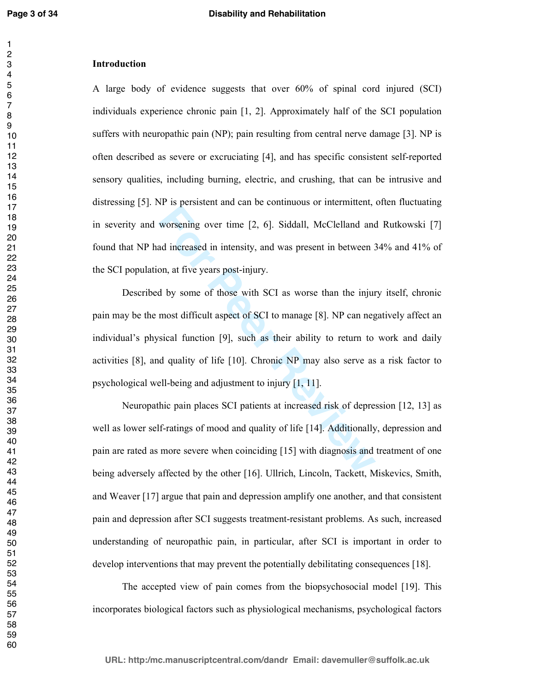#### **Introduction**

A large body of evidence suggests that over 60% of spinal cord injured (SCI) individuals experience chronic pain [1, 2]. Approximately half of the SCI population suffers with neuropathic pain (NP); pain resulting from central nerve damage [3]. NP is often described as severe or excruciating [4], and has specific consistent self-reported sensory qualities, including burning, electric, and crushing, that can be intrusive and distressing [5]. NP is persistent and can be continuous or intermittent, often fluctuating in severity and worsening over time [2, 6]. Siddall, McClelland and Rutkowski [7] found that NP had increased in intensity, and was present in between 34% and 41% of the SCI population, at five years post-injury.

**For EXECT EXECT** Worsening over time [2, 6]. Siddall, McClelland and<br>ad increased in intensity, and was present in between 3<br>on, at five years post-injury.<br>d by some of those with SCI as worse than the injur<br>most difficul Described by some of those with SCI as worse than the injury itself, chronic pain may be the most difficult aspect of SCI to manage [8]. NP can negatively affect an individual's physical function [9], such as their ability to return to work and daily activities [8], and quality of life [10]. Chronic NP may also serve as a risk factor to psychological well-being and adjustment to injury [1, 11].

Neuropathic pain places SCI patients at increased risk of depression [12, 13] as well as lower self-ratings of mood and quality of life [14]. Additionally, depression and pain are rated as more severe when coinciding [15] with diagnosis and treatment of one being adversely affected by the other [16]. Ullrich, Lincoln, Tackett, Miskevics, Smith, and Weaver [17] argue that pain and depression amplify one another, and that consistent pain and depression after SCI suggests treatment-resistant problems. As such, increased understanding of neuropathic pain, in particular, after SCI is important in order to develop interventions that may prevent the potentially debilitating consequences [18].

The accepted view of pain comes from the biopsychosocial model [19]. This incorporates biological factors such as physiological mechanisms, psychological factors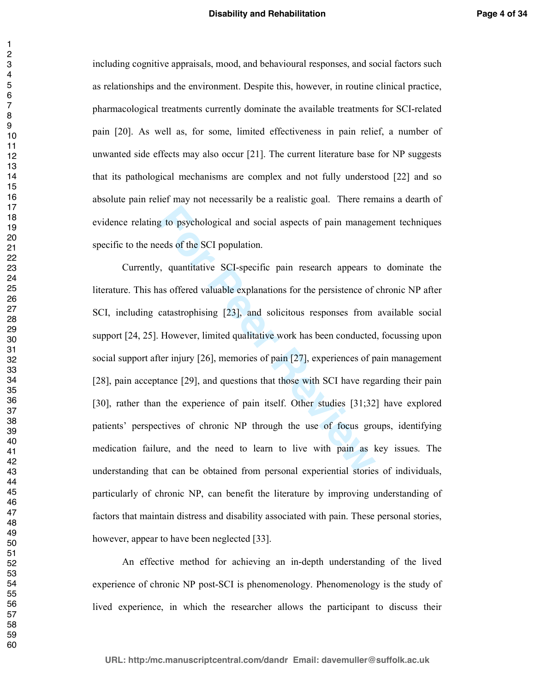including cognitive appraisals, mood, and behavioural responses, and social factors such as relationships and the environment. Despite this, however, in routine clinical practice, pharmacological treatments currently dominate the available treatments for SCI-related pain [20]. As well as, for some, limited effectiveness in pain relief, a number of unwanted side effects may also occur [21]. The current literature base for NP suggests that its pathological mechanisms are complex and not fully understood [22] and so absolute pain relief may not necessarily be a realistic goal. There remains a dearth of evidence relating to psychological and social aspects of pain management techniques specific to the needs of the SCI population.

is to psychological and social aspects of pain manage<br>
eeds of the SCI population.<br>
7, quantitative SCI-specific pain research appears t<br>
as offered valuable explanations for the persistence of<br>
catastrophising [23], and s Currently, quantitative SCI-specific pain research appears to dominate the literature. This has offered valuable explanations for the persistence of chronic NP after SCI, including catastrophising [23], and solicitous responses from available social support [24, 25]. However, limited qualitative work has been conducted, focussing upon social support after injury [26], memories of pain [27], experiences of pain management [28], pain acceptance [29], and questions that those with SCI have regarding their pain [30], rather than the experience of pain itself. Other studies [31;32] have explored patients' perspectives of chronic NP through the use of focus groups, identifying medication failure, and the need to learn to live with pain as key issues. The understanding that can be obtained from personal experiential stories of individuals, particularly of chronic NP, can benefit the literature by improving understanding of factors that maintain distress and disability associated with pain. These personal stories, however, appear to have been neglected [33].

An effective method for achieving an in-depth understanding of the lived experience of chronic NP post-SCI is phenomenology. Phenomenology is the study of lived experience, in which the researcher allows the participant to discuss their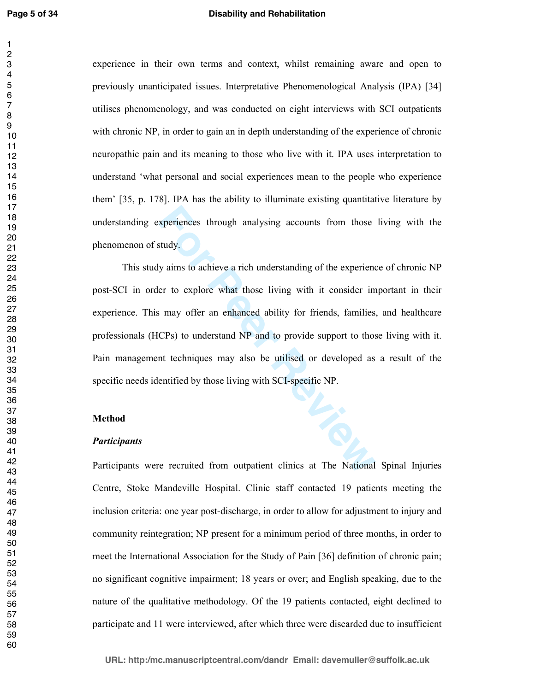$\mathbf{1}$ 

experience in their own terms and context, whilst remaining aware and open to previously unanticipated issues. Interpretative Phenomenological Analysis (IPA) [34] utilises phenomenology, and was conducted on eight interviews with SCI outpatients with chronic NP, in order to gain an in depth understanding of the experience of chronic neuropathic pain and its meaning to those who live with it. IPA uses interpretation to understand 'what personal and social experiences mean to the people who experience them' [35, p. 178]. IPA has the ability to illuminate existing quantitative literature by understanding experiences through analysing accounts from those living with the phenomenon of study.

xperiences through analysing accounts from those<br>study.<br>By aims to achieve a rich understanding of the experience<br>r to explore what those living with it consider im<br>For any offer an enhanced ability for friends, families.<br> This study aims to achieve a rich understanding of the experience of chronic NP post-SCI in order to explore what those living with it consider important in their experience. This may offer an enhanced ability for friends, families, and healthcare professionals (HCPs) to understand NP and to provide support to those living with it. Pain management techniques may also be utilised or developed as a result of the specific needs identified by those living with SCI-specific NP.

#### **Method**

#### *Participants*

Participants were recruited from outpatient clinics at The National Spinal Injuries Centre, Stoke Mandeville Hospital. Clinic staff contacted 19 patients meeting the inclusion criteria: one year post-discharge, in order to allow for adjustment to injury and community reintegration; NP present for a minimum period of three months, in order to meet the International Association for the Study of Pain [36] definition of chronic pain; no significant cognitive impairment; 18 years or over; and English speaking, due to the nature of the qualitative methodology. Of the 19 patients contacted, eight declined to participate and 11 were interviewed, after which three were discarded due to insufficient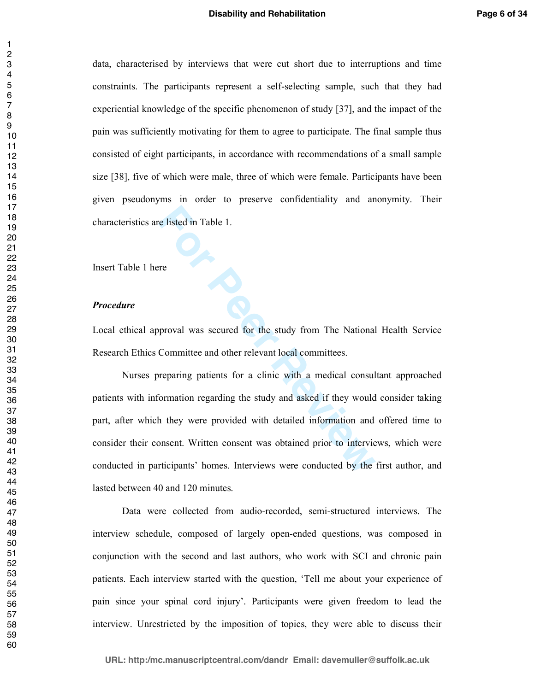data, characterised by interviews that were cut short due to interruptions and time constraints. The participants represent a self-selecting sample, such that they had experiential knowledge of the specific phenomenon of study [37], and the impact of the pain was sufficiently motivating for them to agree to participate. The final sample thus consisted of eight participants, in accordance with recommendations of a small sample size [38], five of which were male, three of which were female. Participants have been given pseudonyms in order to preserve confidentiality and anonymity. Their characteristics are listed in Table 1.

Insert Table 1 here

#### *Procedure*

Local ethical approval was secured for the study from The National Health Service Research Ethics Committee and other relevant local committees.

For Price is a Table 1.<br>
For Precise of the study from The National<br> **For Precise 2.**<br> **For Precise and other relevant local committees.**<br> **For Precise and Section 2.**<br> **For Precise and Section 2.**<br> **For Precise and Sectio** Nurses preparing patients for a clinic with a medical consultant approached patients with information regarding the study and asked if they would consider taking part, after which they were provided with detailed information and offered time to consider their consent. Written consent was obtained prior to interviews, which were conducted in participants' homes. Interviews were conducted by the first author, and lasted between 40 and 120 minutes.

 Data were collected from audio-recorded, semi-structured interviews. The interview schedule, composed of largely open-ended questions, was composed in conjunction with the second and last authors, who work with SCI and chronic pain patients. Each interview started with the question, 'Tell me about your experience of pain since your spinal cord injury'. Participants were given freedom to lead the interview. Unrestricted by the imposition of topics, they were able to discuss their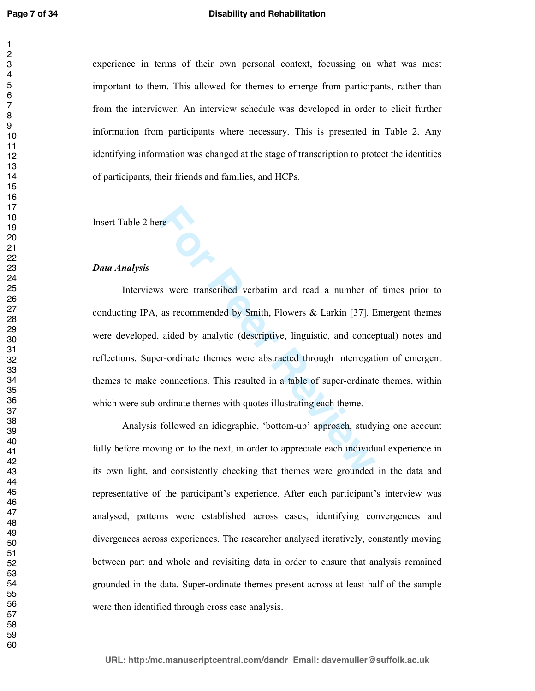$\mathbf{1}$  $\overline{2}$ 

#### **Disability and Rehabilitation**

experience in terms of their own personal context, focussing on what was most important to them. This allowed for themes to emerge from participants, rather than from the interviewer. An interview schedule was developed in order to elicit further information from participants where necessary. This is presented in Table 2. Any identifying information was changed at the stage of transcription to protect the identities of participants, their friends and families, and HCPs.

Insert Table 2 here

#### *Data Analysis*

For the same standard werbatim and read a number of<br>as recommended by Smith, Flowers & Larkin [37]. E<br>aided by analytic (descriptive, linguistic, and concernent<br>per-ordinate themes were abstracted through interrogat<br>connec Interviews were transcribed verbatim and read a number of times prior to conducting IPA, as recommended by Smith, Flowers & Larkin [37]. Emergent themes were developed, aided by analytic (descriptive, linguistic, and conceptual) notes and reflections. Super-ordinate themes were abstracted through interrogation of emergent themes to make connections. This resulted in a table of super-ordinate themes, within which were sub-ordinate themes with quotes illustrating each theme.

Analysis followed an idiographic, 'bottom-up' approach, studying one account fully before moving on to the next, in order to appreciate each individual experience in its own light, and consistently checking that themes were grounded in the data and representative of the participant's experience. After each participant's interview was analysed, patterns were established across cases, identifying convergences and divergences across experiences. The researcher analysed iteratively, constantly moving between part and whole and revisiting data in order to ensure that analysis remained grounded in the data. Super-ordinate themes present across at least half of the sample were then identified through cross case analysis.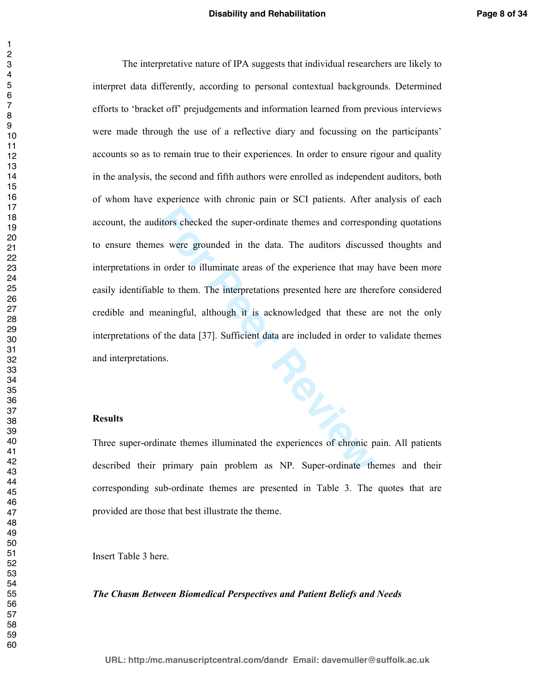litors checked the super-ordinate themes and correspond<br>
For the super-ordinate themes and corresponders<br>
in order to illuminate areas of the experience that may<br>
le to them. The interpretations presented here are there<br>
a The interpretative nature of IPA suggests that individual researchers are likely to interpret data differently, according to personal contextual backgrounds. Determined efforts to 'bracket off' prejudgements and information learned from previous interviews were made through the use of a reflective diary and focussing on the participants' accounts so as to remain true to their experiences. In order to ensure rigour and quality in the analysis, the second and fifth authors were enrolled as independent auditors, both of whom have experience with chronic pain or SCI patients. After analysis of each account, the auditors checked the super-ordinate themes and corresponding quotations to ensure themes were grounded in the data. The auditors discussed thoughts and interpretations in order to illuminate areas of the experience that may have been more easily identifiable to them. The interpretations presented here are therefore considered credible and meaningful, although it is acknowledged that these are not the only interpretations of the data [37]. Sufficient data are included in order to validate themes and interpretations.

#### **Results**

Three super-ordinate themes illuminated the experiences of chronic pain. All patients described their primary pain problem as NP. Super-ordinate themes and their corresponding sub-ordinate themes are presented in Table 3. The quotes that are provided are those that best illustrate the theme.

Insert Table 3 here.

#### *The Chasm Between Biomedical Perspectives and Patient Beliefs and Needs*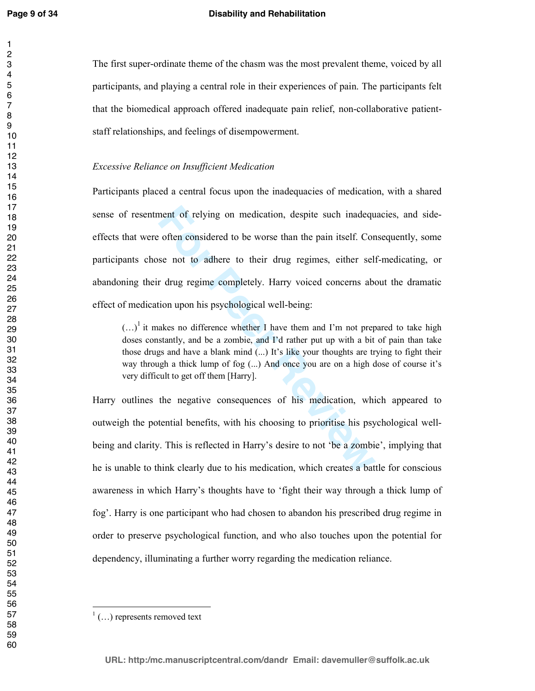$\mathbf{1}$ 

#### **Disability and Rehabilitation**

The first super-ordinate theme of the chasm was the most prevalent theme, voiced by all participants, and playing a central role in their experiences of pain. The participants felt that the biomedical approach offered inadequate pain relief, non-collaborative patientstaff relationships, and feelings of disempowerment.

#### *Excessive Reliance on Insufficient Medication*

ment of relying on medication, despite such inadequ<br>
often considered to be worse than the pain itself. Con<br>
se not to adhere to their drug regimes, either self<br>
or drug regime completely. Harry voiced concerns abe<br>
tion u Participants placed a central focus upon the inadequacies of medication, with a shared sense of resentment of relying on medication, despite such inadequacies, and sideeffects that were often considered to be worse than the pain itself. Consequently, some participants chose not to adhere to their drug regimes, either self-medicating, or abandoning their drug regime completely. Harry voiced concerns about the dramatic effect of medication upon his psychological well-being:

 $(...)^{1}$  it makes no difference whether I have them and I'm not prepared to take high doses constantly, and be a zombie, and I'd rather put up with a bit of pain than take those drugs and have a blank mind (...) It's like your thoughts are trying to fight their way through a thick lump of fog (...) And once you are on a high dose of course it's very difficult to get off them [Harry].

Harry outlines the negative consequences of his medication, which appeared to outweigh the potential benefits, with his choosing to prioritise his psychological wellbeing and clarity. This is reflected in Harry's desire to not 'be a zombie', implying that he is unable to think clearly due to his medication, which creates a battle for conscious awareness in which Harry's thoughts have to 'fight their way through a thick lump of fog'. Harry is one participant who had chosen to abandon his prescribed drug regime in order to preserve psychological function, and who also touches upon the potential for dependency, illuminating a further worry regarding the medication reliance.

 $\frac{1}{1}$  $($ ...) represents removed text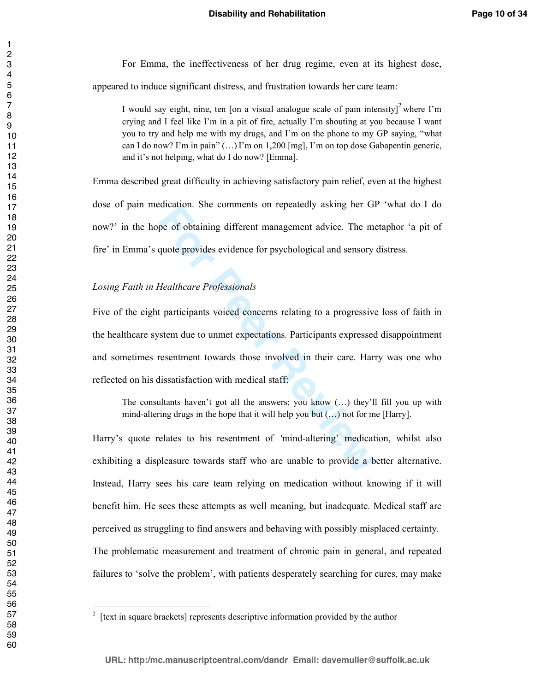For Emma, the ineffectiveness of her drug regime, even at its highest dose, appeared to induce significant distress, and frustration towards her care team:

I would say eight, nine, ten [on a visual analogue scale of pain intensity] $^2$  where I'm crying and I feel like I'm in a pit of fire, actually I'm shouting at you because I want you to try and help me with my drugs, and I'm on the phone to my GP saying, "what can I do now? I'm in pain" (…) I'm on 1,200 [mg], I'm on top dose Gabapentin generic, and it's not helping, what do I do now? [Emma].

Emma described great difficulty in achieving satisfactory pain relief, even at the highest dose of pain medication. She comments on repeatedly asking her GP 'what do I do now?' in the hope of obtaining different management advice. The metaphor 'a pit of fire' in Emma's quote provides evidence for psychological and sensory distress.

#### *Losing Faith in Healthcare Professionals*

pe of obtaining different management advice. The measure provides evidence for psychological and sensory<br>**For Peer Review Professionals**<br>**For Peer Review Professionals**<br>**Example 1** and the professionals<br>**Example 2** and the Five of the eight participants voiced concerns relating to a progressive loss of faith in the healthcare system due to unmet expectations. Participants expressed disappointment and sometimes resentment towards those involved in their care. Harry was one who reflected on his dissatisfaction with medical staff:

The consultants haven't got all the answers; you know (…) they'll fill you up with mind-altering drugs in the hope that it will help you but  $(\ldots)$  not for me [Harry].

Harry's quote relates to his resentment of 'mind-altering' medication, whilst also exhibiting a displeasure towards staff who are unable to provide a better alternative. Instead, Harry sees his care team relying on medication without knowing if it will benefit him. He sees these attempts as well meaning, but inadequate. Medical staff are perceived as struggling to find answers and behaving with possibly misplaced certainty. The problematic measurement and treatment of chronic pain in general, and repeated failures to 'solve the problem', with patients desperately searching for cures, may make

 $\mathbf{1}$ 

 $\frac{1}{2}$  $\frac{1}{2}$  [text in square brackets] represents descriptive information provided by the author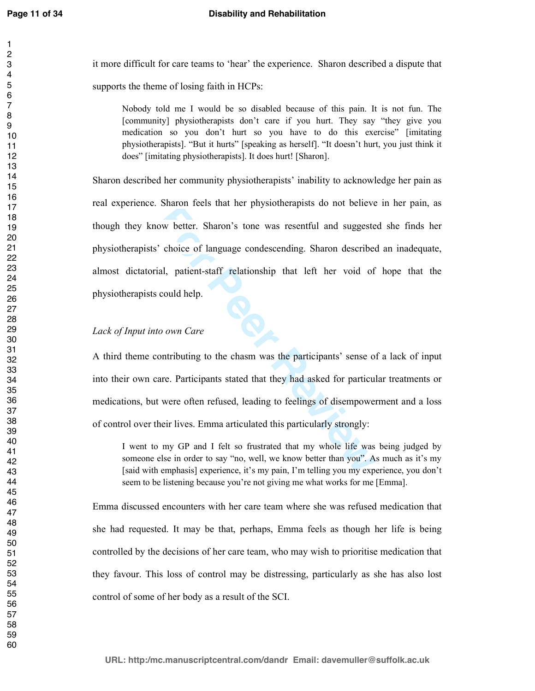#### **Disability and Rehabilitation**

it more difficult for care teams to 'hear' the experience. Sharon described a dispute that supports the theme of losing faith in HCPs:

Nobody told me I would be so disabled because of this pain. It is not fun. The [community] physiotherapists don't care if you hurt. They say "they give you medication so you don't hurt so you have to do this exercise" [imitating physiotherapists]. "But it hurts" [speaking as herself]. "It doesn't hurt, you just think it does" [imitating physiotherapists]. It does hurt! [Sharon].

but the physiolal and suggeste<br>
whetter. Sharon's tone was resentful and suggeste<br>
choice of language condescending. Sharon described<br>
al, patient-staff relationship that left her void of<br>
could help.<br>
o own Care<br>
ontribut Sharon described her community physiotherapists' inability to acknowledge her pain as real experience. Sharon feels that her physiotherapists do not believe in her pain, as though they know better. Sharon's tone was resentful and suggested she finds her physiotherapists' choice of language condescending. Sharon described an inadequate, almost dictatorial, patient-staff relationship that left her void of hope that the physiotherapists could help.

#### *Lack of Input into own Care*

A third theme contributing to the chasm was the participants' sense of a lack of input into their own care. Participants stated that they had asked for particular treatments or medications, but were often refused, leading to feelings of disempowerment and a loss of control over their lives. Emma articulated this particularly strongly:

I went to my GP and I felt so frustrated that my whole life was being judged by someone else in order to say "no, well, we know better than you". As much as it's my [said with emphasis] experience, it's my pain, I'm telling you my experience, you don't seem to be listening because you're not giving me what works for me [Emma].

Emma discussed encounters with her care team where she was refused medication that she had requested. It may be that, perhaps, Emma feels as though her life is being controlled by the decisions of her care team, who may wish to prioritise medication that they favour. This loss of control may be distressing, particularly as she has also lost control of some of her body as a result of the SCI.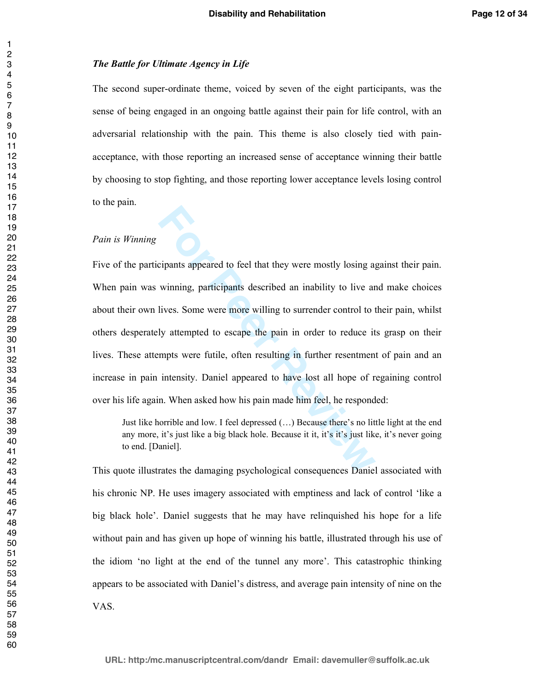#### *The Battle for Ultimate Agency in Life*

The second super-ordinate theme, voiced by seven of the eight participants, was the sense of being engaged in an ongoing battle against their pain for life control, with an adversarial relationship with the pain. This theme is also closely tied with painacceptance, with those reporting an increased sense of acceptance winning their battle by choosing to stop fighting, and those reporting lower acceptance levels losing control to the pain.

#### *Pain is Winning*

**Example 18 Set that they were mostly losing and summing, participants described an inability to live ar lives. Some were more willing to surrender control to the pair lives. Some were more willing to surrender control to** Five of the participants appeared to feel that they were mostly losing against their pain. When pain was winning, participants described an inability to live and make choices about their own lives. Some were more willing to surrender control to their pain, whilst others desperately attempted to escape the pain in order to reduce its grasp on their lives. These attempts were futile, often resulting in further resentment of pain and an increase in pain intensity. Daniel appeared to have lost all hope of regaining control over his life again. When asked how his pain made him feel, he responded:

Just like horrible and low. I feel depressed (…) Because there's no little light at the end any more, it's just like a big black hole. Because it it, it's it's just like, it's never going to end. [Daniel].

This quote illustrates the damaging psychological consequences Daniel associated with his chronic NP. He uses imagery associated with emptiness and lack of control 'like a big black hole'. Daniel suggests that he may have relinquished his hope for a life without pain and has given up hope of winning his battle, illustrated through his use of the idiom 'no light at the end of the tunnel any more'. This catastrophic thinking appears to be associated with Daniel's distress, and average pain intensity of nine on the VAS.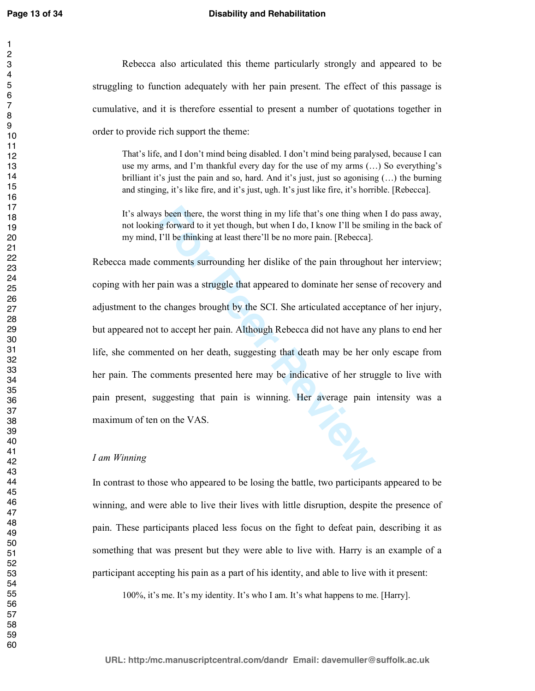$\mathbf{1}$ 

#### **Disability and Rehabilitation**

Rebecca also articulated this theme particularly strongly and appeared to be struggling to function adequately with her pain present. The effect of this passage is cumulative, and it is therefore essential to present a number of quotations together in order to provide rich support the theme:

That's life, and I don't mind being disabled. I don't mind being paralysed, because I can use my arms, and I'm thankful every day for the use of my arms (…) So everything's brilliant it's just the pain and so, hard. And it's just, just so agonising (…) the burning and stinging, it's like fire, and it's just, ugh. It's just like fire, it's horrible. [Rebecca].

It's always been there, the worst thing in my life that's one thing when I do pass away, not looking forward to it yet though, but when I do, I know I'll be smiling in the back of my mind, I'll be thinking at least there'll be no more pain. [Rebecca].

s been there, the worst thing in my life that's one thing when g forward to it yet though, but when I do, I know I'll be smill be thinking at least there'll be no more pain. [Rebecca]. Omments surrounding her dislike of th Rebecca made comments surrounding her dislike of the pain throughout her interview; coping with her pain was a struggle that appeared to dominate her sense of recovery and adjustment to the changes brought by the SCI. She articulated acceptance of her injury, but appeared not to accept her pain. Although Rebecca did not have any plans to end her life, she commented on her death, suggesting that death may be her only escape from her pain. The comments presented here may be indicative of her struggle to live with pain present, suggesting that pain is winning. Her average pain intensity was a maximum of ten on the VAS.

#### *I am Winning*

In contrast to those who appeared to be losing the battle, two participants appeared to be winning, and were able to live their lives with little disruption, despite the presence of pain. These participants placed less focus on the fight to defeat pain, describing it as something that was present but they were able to live with. Harry is an example of a participant accepting his pain as a part of his identity, and able to live with it present:

100%, it's me. It's my identity. It's who I am. It's what happens to me. [Harry].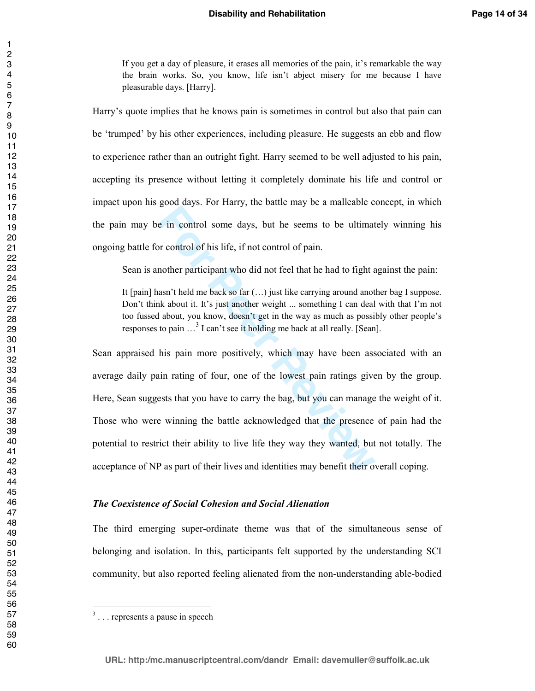If you get a day of pleasure, it erases all memories of the pain, it's remarkable the way the brain works. So, you know, life isn't abject misery for me because I have pleasurable days. [Harry].

Harry's quote implies that he knows pain is sometimes in control but also that pain can be 'trumped' by his other experiences, including pleasure. He suggests an ebb and flow to experience rather than an outright fight. Harry seemed to be well adjusted to his pain, accepting its presence without letting it completely dominate his life and control or impact upon his good days. For Harry, the battle may be a malleable concept, in which the pain may be in control some days, but he seems to be ultimately winning his ongoing battle for control of his life, if not control of pain.

Sean is another participant who did not feel that he had to fight against the pain:

It [pain] hasn't held me back so far (…) just like carrying around another bag I suppose. Don't think about it. It's just another weight ... something I can deal with that I'm not too fussed about, you know, doesn't get in the way as much as possibly other people's responses to pain  $\ldots$ <sup>3</sup> I can't see it holding me back at all really. [Sean].

**Example 18 and 18 and 18 and 18 and 18 and 18 and 18 and 18 and 18 and 18 and 18 and 18 and 18 and 18 and 18 and 18 and 18 and 18 and 18 and 18 and 18 and 18 and 18 and 18 and 18 and 18 and 18 and 18 and 18 and 18 and 18** Sean appraised his pain more positively, which may have been associated with an average daily pain rating of four, one of the lowest pain ratings given by the group. Here, Sean suggests that you have to carry the bag, but you can manage the weight of it. Those who were winning the battle acknowledged that the presence of pain had the potential to restrict their ability to live life they way they wanted, but not totally. The acceptance of NP as part of their lives and identities may benefit their overall coping.

#### *The Coexistence of Social Cohesion and Social Alienation*

The third emerging super-ordinate theme was that of the simultaneous sense of belonging and isolation. In this, participants felt supported by the understanding SCI community, but also reported feeling alienated from the non-understanding able-bodied

<sup>-&</sup>lt;br>3  $\frac{3}{1}$ ... represents a pause in speech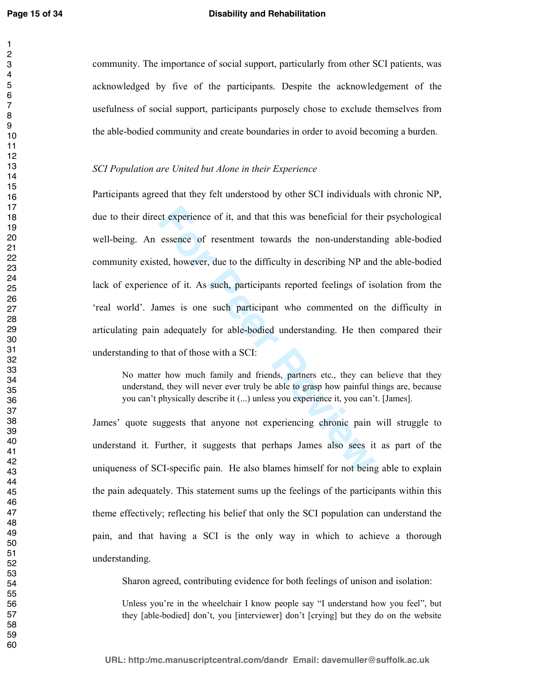$\mathbf{1}$ 

#### **Disability and Rehabilitation**

community. The importance of social support, particularly from other SCI patients, was acknowledged by five of the participants. Despite the acknowledgement of the usefulness of social support, participants purposely chose to exclude themselves from the able-bodied community and create boundaries in order to avoid becoming a burden.

#### *SCI Population are United but Alone in their Experience*

ct experience of it, and that this was beneficial for the<br>essence of resentment towards the non-understand<br>ed, however, due to the difficulty in describing NP and<br>ce of it. As such, participants reported feelings of is<br>mes Participants agreed that they felt understood by other SCI individuals with chronic NP, due to their direct experience of it, and that this was beneficial for their psychological well-being. An essence of resentment towards the non-understanding able-bodied community existed, however, due to the difficulty in describing NP and the able-bodied lack of experience of it. As such, participants reported feelings of isolation from the 'real world'. James is one such participant who commented on the difficulty in articulating pain adequately for able-bodied understanding. He then compared their understanding to that of those with a SCI:

No matter how much family and friends, partners etc., they can believe that they understand, they will never ever truly be able to grasp how painful things are, because you can't physically describe it (...) unless you experience it, you can't. [James].

James' quote suggests that anyone not experiencing chronic pain will struggle to understand it. Further, it suggests that perhaps James also sees it as part of the uniqueness of SCI-specific pain. He also blames himself for not being able to explain the pain adequately. This statement sums up the feelings of the participants within this theme effectively; reflecting his belief that only the SCI population can understand the pain, and that having a SCI is the only way in which to achieve a thorough understanding.

Sharon agreed, contributing evidence for both feelings of unison and isolation:

Unless you're in the wheelchair I know people say "I understand how you feel", but they [able-bodied] don't, you [interviewer] don't [crying] but they do on the website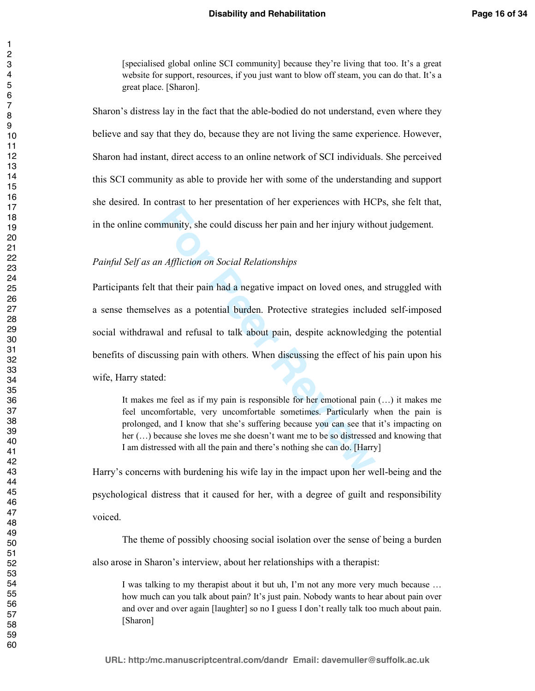[specialised global online SCI community] because they're living that too. It's a great website for support, resources, if you just want to blow off steam, you can do that. It's a great place. [Sharon].

Sharon's distress lay in the fact that the able-bodied do not understand, even where they believe and say that they do, because they are not living the same experience. However, Sharon had instant, direct access to an online network of SCI individuals. She perceived this SCI community as able to provide her with some of the understanding and support she desired. In contrast to her presentation of her experiences with HCPs, she felt that, in the online community, she could discuss her pain and her injury without judgement.

#### *Painful Self as an Affliction on Social Relationships*

munity, she could discuss her pain and her injury with<br> *In Affliction on Social Relationships*<br>
that their pain had a negative impact on loved ones, an<br>
ves as a potential burden. Protective strategies includ<br>
al and refu Participants felt that their pain had a negative impact on loved ones, and struggled with a sense themselves as a potential burden. Protective strategies included self-imposed social withdrawal and refusal to talk about pain, despite acknowledging the potential benefits of discussing pain with others. When discussing the effect of his pain upon his wife, Harry stated:

It makes me feel as if my pain is responsible for her emotional pain (…) it makes me feel uncomfortable, very uncomfortable sometimes. Particularly when the pain is prolonged, and I know that she's suffering because you can see that it's impacting on her  $(...)$  because she loves me she doesn't want me to be so distressed and knowing that I am distressed with all the pain and there's nothing she can do. [Harry]

Harry's concerns with burdening his wife lay in the impact upon her well-being and the psychological distress that it caused for her, with a degree of guilt and responsibility voiced.

The theme of possibly choosing social isolation over the sense of being a burden also arose in Sharon's interview, about her relationships with a therapist:

I was talking to my therapist about it but uh, I'm not any more very much because … how much can you talk about pain? It's just pain. Nobody wants to hear about pain over and over and over again [laughter] so no I guess I don't really talk too much about pain. [Sharon]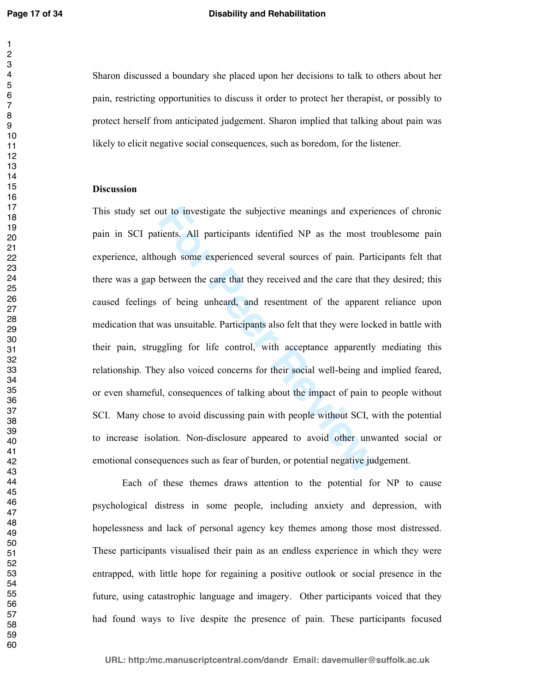**Page 17 of 34**

#### **Disability and Rehabilitation**

Sharon discussed a boundary she placed upon her decisions to talk to others about her pain, restricting opportunities to discuss it order to protect her therapist, or possibly to protect herself from anticipated judgement. Sharon implied that talking about pain was likely to elicit negative social consequences, such as boredom, for the listener.

#### **Discussion**

but to investigate the subjective meanings and experiations. All participants identified NP as the most trough some experienced several sources of pain. Partiblet between the care that they received and the care that the o This study set out to investigate the subjective meanings and experiences of chronic pain in SCI patients. All participants identified NP as the most troublesome pain experience, although some experienced several sources of pain. Participants felt that there was a gap between the care that they received and the care that they desired; this caused feelings of being unheard, and resentment of the apparent reliance upon medication that was unsuitable. Participants also felt that they were locked in battle with their pain, struggling for life control, with acceptance apparently mediating this relationship. They also voiced concerns for their social well-being and implied feared, or even shameful, consequences of talking about the impact of pain to people without SCI. Many chose to avoid discussing pain with people without SCI, with the potential to increase isolation. Non-disclosure appeared to avoid other unwanted social or emotional consequences such as fear of burden, or potential negative judgement.

Each of these themes draws attention to the potential for NP to cause psychological distress in some people, including anxiety and depression, with hopelessness and lack of personal agency key themes among those most distressed. These participants visualised their pain as an endless experience in which they were entrapped, with little hope for regaining a positive outlook or social presence in the future, using catastrophic language and imagery. Other participants voiced that they had found ways to live despite the presence of pain. These participants focused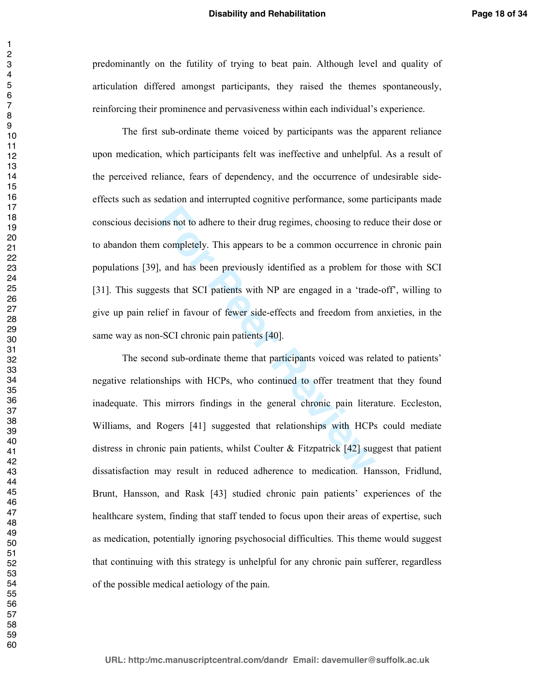predominantly on the futility of trying to beat pain. Although level and quality of articulation differed amongst participants, they raised the themes spontaneously, reinforcing their prominence and pervasiveness within each individual's experience.

ons not to adhere to their drug regimes, choosing to red<br> **Example 1** completely. This appears to be a common occurrence<br>
, and has been previously identified as a problem for<br>
sts that SCI patients with NP are engaged in The first sub-ordinate theme voiced by participants was the apparent reliance upon medication, which participants felt was ineffective and unhelpful. As a result of the perceived reliance, fears of dependency, and the occurrence of undesirable sideeffects such as sedation and interrupted cognitive performance, some participants made conscious decisions not to adhere to their drug regimes, choosing to reduce their dose or to abandon them completely. This appears to be a common occurrence in chronic pain populations [39], and has been previously identified as a problem for those with SCI [31]. This suggests that SCI patients with NP are engaged in a 'trade-off', willing to give up pain relief in favour of fewer side-effects and freedom from anxieties, in the same way as non-SCI chronic pain patients [40].

The second sub-ordinate theme that participants voiced was related to patients' negative relationships with HCPs, who continued to offer treatment that they found inadequate. This mirrors findings in the general chronic pain literature. Eccleston, Williams, and Rogers [41] suggested that relationships with HCPs could mediate distress in chronic pain patients, whilst Coulter & Fitzpatrick [42] suggest that patient dissatisfaction may result in reduced adherence to medication. Hansson, Fridlund, Brunt, Hansson, and Rask [43] studied chronic pain patients' experiences of the healthcare system, finding that staff tended to focus upon their areas of expertise, such as medication, potentially ignoring psychosocial difficulties. This theme would suggest that continuing with this strategy is unhelpful for any chronic pain sufferer, regardless of the possible medical aetiology of the pain.

 $\mathbf{1}$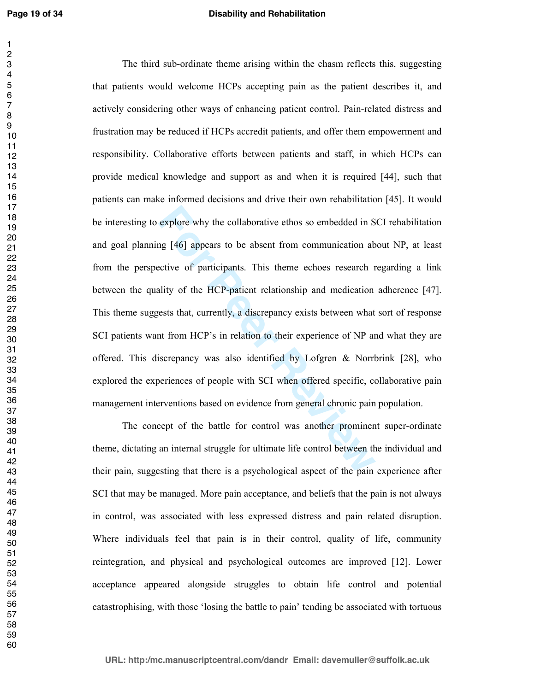#### **Disability and Rehabilitation**

explore why the collaborative ethos so embedded in S<br>ng [46] appears to be absent from communication ab<br>ective of participants. This theme echoes research r<br>ality of the HCP-patient relationship and medication<br>ests that, c The third sub-ordinate theme arising within the chasm reflects this, suggesting that patients would welcome HCPs accepting pain as the patient describes it, and actively considering other ways of enhancing patient control. Pain-related distress and frustration may be reduced if HCPs accredit patients, and offer them empowerment and responsibility. Collaborative efforts between patients and staff, in which HCPs can provide medical knowledge and support as and when it is required [44], such that patients can make informed decisions and drive their own rehabilitation [45]. It would be interesting to explore why the collaborative ethos so embedded in SCI rehabilitation and goal planning [46] appears to be absent from communication about NP, at least from the perspective of participants. This theme echoes research regarding a link between the quality of the HCP-patient relationship and medication adherence [47]. This theme suggests that, currently, a discrepancy exists between what sort of response SCI patients want from HCP's in relation to their experience of NP and what they are offered. This discrepancy was also identified by Lofgren  $\&$  Norrbrink [28], who explored the experiences of people with SCI when offered specific, collaborative pain management interventions based on evidence from general chronic pain population.

The concept of the battle for control was another prominent super-ordinate theme, dictating an internal struggle for ultimate life control between the individual and their pain, suggesting that there is a psychological aspect of the pain experience after SCI that may be managed. More pain acceptance, and beliefs that the pain is not always in control, was associated with less expressed distress and pain related disruption. Where individuals feel that pain is in their control, quality of life, community reintegration, and physical and psychological outcomes are improved [12]. Lower acceptance appeared alongside struggles to obtain life control and potential catastrophising, with those 'losing the battle to pain' tending be associated with tortuous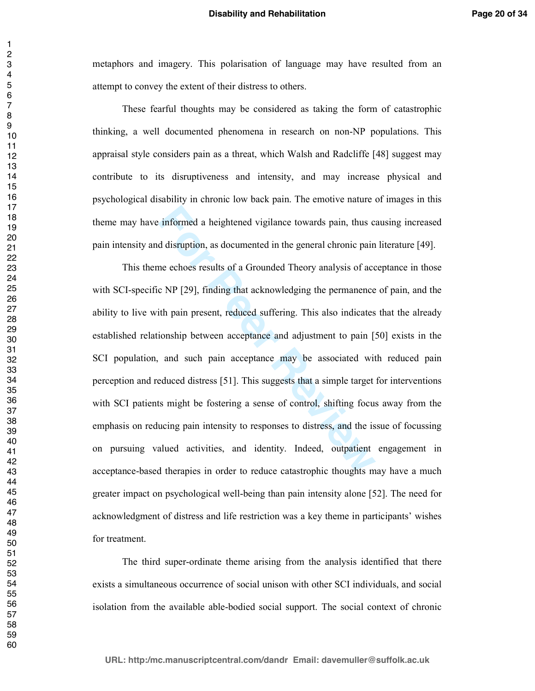metaphors and imagery. This polarisation of language may have resulted from an attempt to convey the extent of their distress to others.

These fearful thoughts may be considered as taking the form of catastrophic thinking, a well documented phenomena in research on non-NP populations. This appraisal style considers pain as a threat, which Walsh and Radcliffe [48] suggest may contribute to its disruptiveness and intensity, and may increase physical and psychological disability in chronic low back pain. The emotive nature of images in this theme may have informed a heightened vigilance towards pain, thus causing increased pain intensity and disruption, as documented in the general chronic pain literature [49].

informed a heightened vigilance towards pain, thus can informed a heightened vigilance towards pain, thus can distruption, as documented in the general chronic pain me echoes results of a Grounded Theory analysis of acc c This theme echoes results of a Grounded Theory analysis of acceptance in those with SCI-specific NP [29], finding that acknowledging the permanence of pain, and the ability to live with pain present, reduced suffering. This also indicates that the already established relationship between acceptance and adjustment to pain [50] exists in the SCI population, and such pain acceptance may be associated with reduced pain perception and reduced distress [51]. This suggests that a simple target for interventions with SCI patients might be fostering a sense of control, shifting focus away from the emphasis on reducing pain intensity to responses to distress, and the issue of focussing on pursuing valued activities, and identity. Indeed, outpatient engagement in acceptance-based therapies in order to reduce catastrophic thoughts may have a much greater impact on psychological well-being than pain intensity alone [52]. The need for acknowledgment of distress and life restriction was a key theme in participants' wishes for treatment.

The third super-ordinate theme arising from the analysis identified that there exists a simultaneous occurrence of social unison with other SCI individuals, and social isolation from the available able-bodied social support. The social context of chronic

 $\mathbf{1}$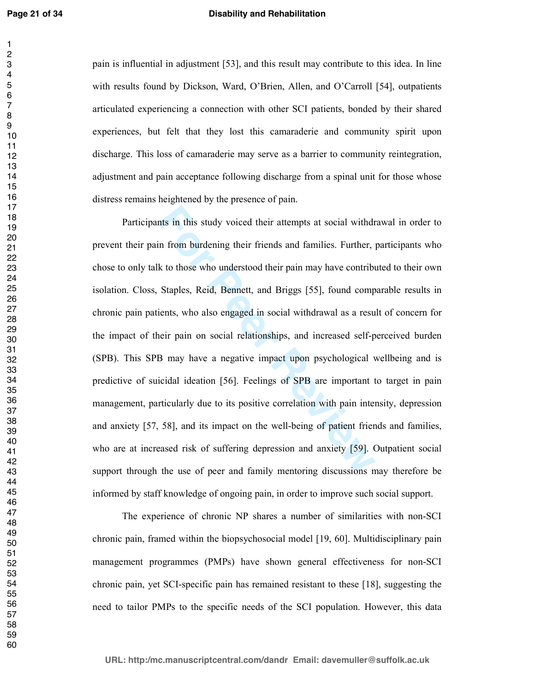#### **Disability and Rehabilitation**

pain is influential in adjustment [53], and this result may contribute to this idea. In line with results found by Dickson, Ward, O'Brien, Allen, and O'Carroll [54], outpatients articulated experiencing a connection with other SCI patients, bonded by their shared experiences, but felt that they lost this camaraderie and community spirit upon discharge. This loss of camaraderie may serve as a barrier to community reintegration, adjustment and pain acceptance following discharge from a spinal unit for those whose distress remains heightened by the presence of pain.

In this study voiced their attempts at social withdrew in from burdening their friends and families. Further, 1<br>
It to those who understood their pain may have contribu<br>
Staples, Reid, Bennett, and Briggs [55], found comp<br> Participants in this study voiced their attempts at social withdrawal in order to prevent their pain from burdening their friends and families. Further, participants who chose to only talk to those who understood their pain may have contributed to their own isolation. Closs, Staples, Reid, Bennett, and Brigg s [55], found comparable results in chronic pain patients, who also engaged in social withdrawal as a result of concern for the impact of their pain on social relationships, and increased self-perceived burden (SPB). This SPB may have a negative impact upon psychological wellbeing and is predictive of suicidal ideation [56]. Feelings of SPB are important to target in pain management, particularly due to its positive correlation with pain intensity, depression and anxiety [57, 58], and its impact on the well-being of patient friends and families, who are at increased risk of suffering depression and anxiety [59]. Outpatient social support through the use of peer and family mentoring discussions may therefore be informed by staff knowledge of ongoing pain, in order to improve such social support.

The experience of chronic NP shares a number of similarities with non-SCI chronic pain, framed within the biopsychosocial model [19, 60]. Multidisciplinary pain management programmes (PMPs) have shown general effectiveness for non-SCI chronic pain, yet SCI-specific pain has remained resistant to these [18], suggesting the need to tailor PMPs to the specific needs of the SCI population. However, this data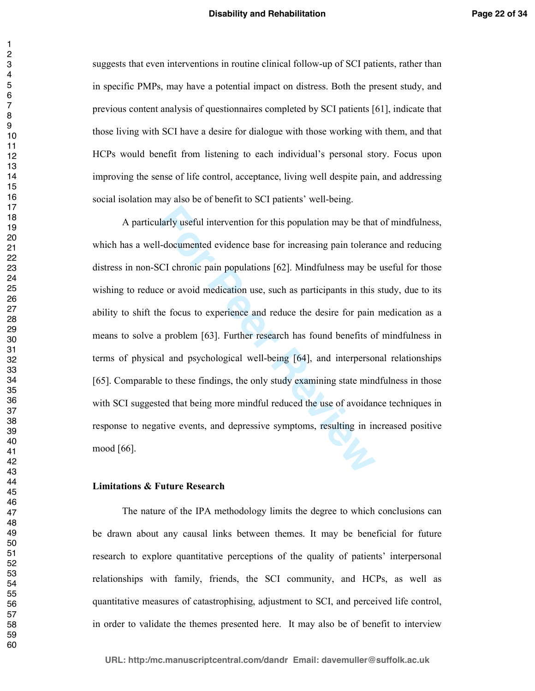suggests that even interventions in routine clinical follow-up of SCI patients, rather than in specific PMPs, may have a potential impact on distress. Both the present study, and previous content analysis of questionnaires completed by SCI patients [61], indicate that those living with SCI have a desire for dialogue with those working with them, and that HCPs would benefit from listening to each individual's personal story. Focus upon improving the sense of life control, acceptance, living well despite pain, and addressing social isolation may also be of benefit to SCI patients' well-being.

Harly useful intervention for this population may be that<br>
I-documented evidence base for increasing pain tolerar<br>
I-documented evidence base for increasing pain tolerar<br>
ICI chronic pain populations [62]. Mindfulness may A particularly useful intervention for this population may be that of mindfulness, which has a well-documented evidence base for increasing pain tolerance and reducing distress in non-SCI chronic pain populations [62]. Mindfulness may be useful for those wishing to reduce or avoid medication use, such as participants in this study, due to its ability to shift the focus to experience and reduce the desire for pain medication as a means to solve a problem [63]. Further research has found benefits of mindfulness in terms of physical and psychological well-being [64], and interpersonal relationships [65]. Comparable to these findings, the only study examining state mindfulness in those with SCI suggested that being more mindful reduced the use of avoidance techniques in response to negative events, and depressive symptoms, resulting in increased positive mood [66].

#### **Limitations & Future Research**

The nature of the IPA methodology limits the degree to which conclusions can be drawn about any causal links between themes. It may be beneficial for future research to explore quantitative perceptions of the quality of patients' interpersonal relationships with family, friends, the SCI community, and HCPs, as well as quantitative measures of catastrophising, adjustment to SCI, and perceived life control, in order to validate the themes presented here. It may also be of benefit to interview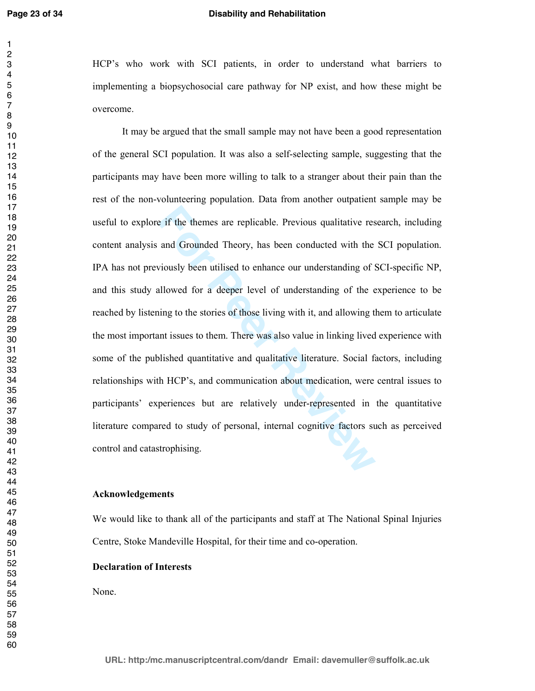$\mathbf{1}$ 

#### **Disability and Rehabilitation**

HCP's who work with SCI patients, in order to understand what barriers to implementing a biopsychosocial care pathway for NP exist, and how these might be overcome.

Example if the themes are replicable. Previous qualitative reserved and Grounded Theory, has been conducted with the viously been utilised to enhance our understanding of the viously been utilised to enhance our understand It may be argued that the small sample may not have been a good representation of the general SCI population. It was also a self-selecting sample, suggesting that the participants may have been more willing to talk to a stranger about their pain than the rest of the non-volunteering population. Data from another outpatient sample may be useful to explore if the themes are replicable. Previous qualitative research, including content analysis and Grounded Theory, has been conducted with the SCI population. IPA has not previously been utilised to enhance our understanding of SCI-specific NP, and this study allowed for a deeper level of understanding of the experience to be reached by listening to the stories of those living with it, and allowing them to articulate the most important issues to them. There was also value in linking lived experience with some of the published quantitative and qualitative literature. Social factors, including relationships with HCP's, and communication about medication, were central issues to participants' experiences but are relatively under-represented in the quantitative literature compared to study of personal, internal cognitive factors such as perceived control and catastrophising.

#### **Acknowledgements**

We would like to thank all of the participants and staff at The National Spinal Injuries Centre, Stoke Mandeville Hospital, for their time and co-operation.

#### **Declaration of Interests**

None.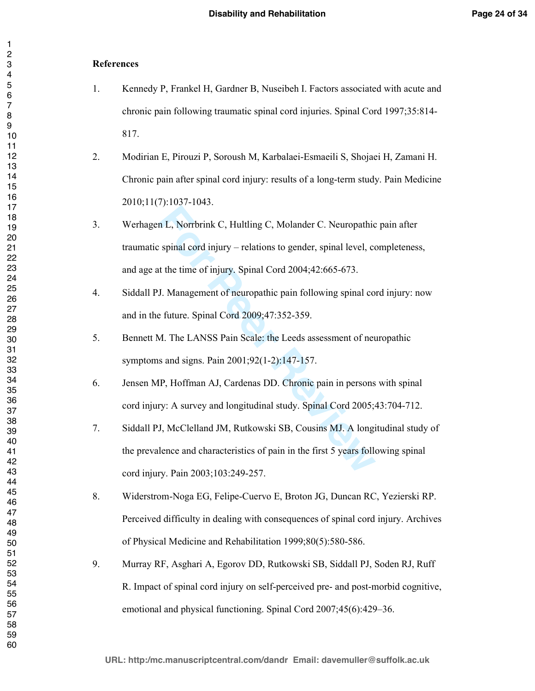#### **References**

- 1. Kennedy P, Frankel H, Gardner B, Nuseibeh I. Factors associated with acute and chronic pain following traumatic spinal cord injuries. Spinal Cord 1997;35:814- 817.
- 2. Modirian E, Pirouzi P, Soroush M, Karbalaei-Esmaeili S, Shojaei H, Zamani H. Chronic pain after spinal cord injury: results of a long-term study. Pain Medicine 2010;11(7):1037-1043.
- I. Norrbrink C, Hultling C, Molander C. Neuropathic<br>
spinal cord injury relations to gender, spinal level, compared to the time of injury. Spinal Cord 2004;42:665-673.<br>
J. Management of neuropathic pain following spinal 3. Werhagen L, Norrbrink C, Hultling C, Molander C. Neuropathic pain after traumatic spinal cord injury – relations to gender, spinal level, completeness, and age at the time of injury. Spinal Cord 2004;42:665-673.
- 4. Siddall PJ. Management of neuropathic pain following spinal cord injury: now and in the future. Spinal Cord 2009;47:352-359.
- 5. Bennett M. The LANSS Pain Scale: the Leeds assessment of neuropathic symptoms and signs. Pain 2001;92(1-2):147-157.
- 6. Jensen MP, Hoffman AJ, Cardenas DD. Chronic pain in persons with spinal cord injury: A survey and longitudinal study. Spinal Cord 2005;43:704-712.
- 7. Siddall PJ, McClelland JM, Rutkowski SB, Cousins MJ. A longitudinal study of the prevalence and characteristics of pain in the first 5 years following spinal cord injury. Pain 2003;103:249-257.
- 8. Widerstrom-Noga EG, Felipe-Cuervo E, Broton JG, Duncan RC, Yezierski RP. Perceived difficulty in dealing with consequences of spinal cord injury. Archives of Physical Medicine and Rehabilitation 1999;80(5):580-586.
- 9. Murray RF, Asghari A, Egorov DD, Rutkowski SB, Siddall PJ, Soden RJ, Ruff R. Impact of spinal cord injury on self-perceived pre- and post-morbid cognitive, emotional and physical functioning. Spinal Cord 2007;45(6):429–36.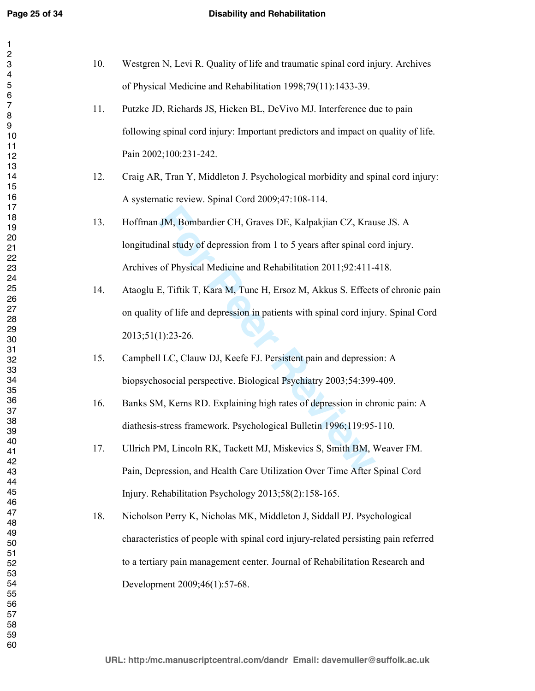$\mathbf{1}$  $\overline{c}$  $\overline{\mathbf{4}}$  $\overline{7}$  $\boldsymbol{9}$ 

#### **Disability and Rehabilitation**

| 10. | Westgren N, Levi R. Quality of life and traumatic spinal cord injury. Archives     |
|-----|------------------------------------------------------------------------------------|
|     | of Physical Medicine and Rehabilitation 1998;79(11):1433-39.                       |
| 11. | Putzke JD, Richards JS, Hicken BL, DeVivo MJ. Interference due to pain             |
|     | following spinal cord injury: Important predictors and impact on quality of life.  |
|     | Pain 2002;100:231-242.                                                             |
| 12. | Craig AR, Tran Y, Middleton J. Psychological morbidity and spinal cord injury:     |
|     | A systematic review. Spinal Cord 2009;47:108-114.                                  |
| 13. | Hoffman JM, Bombardier CH, Graves DE, Kalpakjian CZ, Krause JS. A                  |
|     | longitudinal study of depression from 1 to 5 years after spinal cord injury.       |
|     | Archives of Physical Medicine and Rehabilitation 2011;92:411-418.                  |
| 14. | Ataoglu E, Tiftik T, Kara M, Tunc H, Ersoz M, Akkus S. Effects of chronic pain     |
|     | on quality of life and depression in patients with spinal cord injury. Spinal Cord |
|     | 2013;51(1):23-26.                                                                  |
| 15. | Campbell LC, Clauw DJ, Keefe FJ. Persistent pain and depression: A                 |
|     | biopsychosocial perspective. Biological Psychiatry 2003;54:399-409.                |
| 16. | Banks SM, Kerns RD. Explaining high rates of depression in chronic pain: A         |
|     | diathesis-stress framework. Psychological Bulletin 1996;119:95-110.                |
| 17. | Ullrich PM, Lincoln RK, Tackett MJ, Miskevics S, Smith BM, Weaver FM.              |
|     | Pain, Depression, and Health Care Utilization Over Time After Spinal Cord          |
|     | Injury. Rehabilitation Psychology 2013;58(2):158-165.                              |
| 18. | Nicholson Perry K, Nicholas MK, Middleton J, Siddall PJ. Psychological             |
|     | characteristics of people with spinal cord injury-related persisting pain referred |
|     | to a tertiary pain management center. Journal of Rehabilitation Research and       |
|     | Development 2009;46(1):57-68.                                                      |
|     |                                                                                    |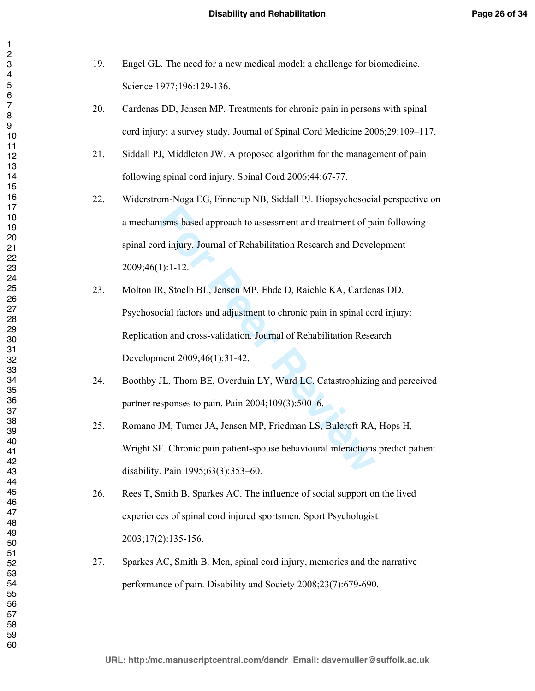- 19. Engel GL. The need for a new medical model: a challenge for biomedicine. Science 1977;196:129-136.
- 20. Cardenas DD, Jensen MP. Treatments for chronic pain in persons with spinal cord injury: a survey study. Journal of Spinal Cord Medicine 2006;29:109–117.
- 21. Siddall PJ, Middleton JW. A proposed algorithm for the management of pain following spinal cord injury. Spinal Cord 2006;44:67-77.
- 22. Widerstrom-Noga EG, Finnerup NB, Siddall PJ. Biopsychosocial perspective on a mechanisms-based approach to assessment and treatment of pain following spinal cord injury. Journal of Rehabilitation Research and Development 2009;46(1):1-12.
- isms-based approach to assessment and treatment of pa<br>rd injury. Journal of Rehabilitation Research and Devel<br>1):1-12.<br>R, Stoelb BL, Jensen MP, Ehde D, Raichle KA, Carden<br>cial factors and adjustment to chronic pain in spin 23. Molton IR, Stoelb BL, Jensen MP, Ehde D, Raichle KA, Cardenas DD. Psychosocial factors and adjustment to chronic pain in spinal cord injury: Replication and cross-validation. Journal of Rehabilitation Research Development 2009;46(1):31-42.
- 24. Boothby JL, Thorn BE, Overduin LY, Ward LC. Catastrophizing and perceived partner responses to pain. Pain 2004;109(3):500–6.
- 25. Romano JM, Turner JA, Jensen MP, Friedman LS, Bulcroft RA, Hops H, Wright SF. Chronic pain patient-spouse behavioural interactions predict patient disability. Pain 1995;63(3):353–60.
- 26. Rees T, Smith B, Sparkes AC. The influence of social support on the lived experiences of spinal cord injured sportsmen. Sport Psychologist 2003;17(2):135-156.
- 27. Sparkes AC, Smith B. Men, spinal cord injury, memories and the narrative performance of pain. Disability and Society 2008;23(7):679-690.

 $\mathbf{1}$  $\overline{c}$  $\overline{7}$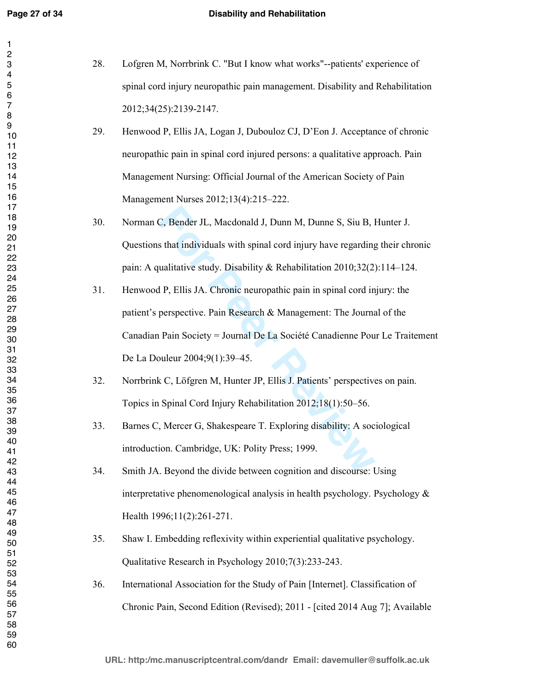#### **Disability and Rehabilitation**

| 1                                      |  |
|----------------------------------------|--|
| 2<br>3                                 |  |
|                                        |  |
| 4                                      |  |
| 5                                      |  |
| 6                                      |  |
| 7                                      |  |
| 8<br>9                                 |  |
|                                        |  |
| 10                                     |  |
| 11                                     |  |
|                                        |  |
| 12 13 14 15 16 17 1                    |  |
|                                        |  |
|                                        |  |
|                                        |  |
| 18                                     |  |
| 19                                     |  |
| 20<br>21                               |  |
|                                        |  |
| 22                                     |  |
|                                        |  |
| 23<br>24<br>25                         |  |
|                                        |  |
|                                        |  |
| 26<br>27<br>28<br>29<br>30<br>31<br>31 |  |
|                                        |  |
|                                        |  |
|                                        |  |
|                                        |  |
| 32<br>33                               |  |
| 34                                     |  |
| 35                                     |  |
| 36                                     |  |
| 37                                     |  |
| 38                                     |  |
| 39                                     |  |
| 40                                     |  |
| 41                                     |  |
| 42                                     |  |
| 43<br>44                               |  |
| 45                                     |  |
| 46                                     |  |
| 47                                     |  |
| 48                                     |  |
| 49                                     |  |
| 50                                     |  |
| 51                                     |  |
| 52                                     |  |
| 53                                     |  |
| 54                                     |  |
| 55                                     |  |
| 56                                     |  |
| 57                                     |  |
| 58                                     |  |
| 59                                     |  |
| 60                                     |  |

- 28. Lofgren M, Norrbrink C. "But I know what works"--patients' experience of spinal cord injury neuropathic pain management. Disability and Rehabilitation 2012;34(25):2139-2147.
- 29. Henwood P, Ellis JA, Logan J, Dubouloz CJ, D'Eon J. Acceptance of chronic neuropathic pain in spinal cord injured persons: a qualitative approach. Pain Management Nursing: Official Journal of the American Society of Pain Management Nurses 2012;13(4):215–222.
- 30. Norman C, Bender JL, Macdonald J, Dunn M, Dunne S, Siu B, Hunter J. Questions that individuals with spinal cord injury have regarding their chronic pain: A qualitative study. Disability & Rehabilitation 2010;32(2):114–124.
- C, Bender JL, Macdonald J, Dunn M, Dunne S, Siu B, I<br>s that individuals with spinal cord injury have regarding<br>ualitative study. Disability & Rehabilitation 2010;32(2)<br>1 P, Ellis JA. Chronic neuropathic pain in spinal cord 31. Henwood P, Ellis JA. Chronic neuropathic pain in spinal cord injury: the patient's perspective. Pain Research & Management: The Journal of the Canadian Pain Society = Journal De La Société Canadienne Pour Le Traitement De La Douleur 2004;9(1):39–45.
- 32. Norrbrink C, Löfgren M, Hunter JP, Ellis J. Patients' perspectives on pain. Topics in Spinal Cord Injury Rehabilitation 2012;18(1):50–56.
- 33. Barnes C, Mercer G, Shakespeare T. Exploring disability: A sociological introduction. Cambridge, UK: Polity Press; 1999.
- 34. Smith JA. Beyond the divide between cognition and discourse: Using interpretative phenomenological analysis in health psychology. Psychology  $\&$ Health 1996;11(2):261-271.
- 35. Shaw I. Embedding reflexivity within experiential qualitative psychology. Qualitative Research in Psychology 2010;7(3):233-243.
- 36. International Association for the Study of Pain [Internet]. Classification of Chronic Pain, Second Edition (Revised); 2011 - [cited 2014 Aug 7]; Available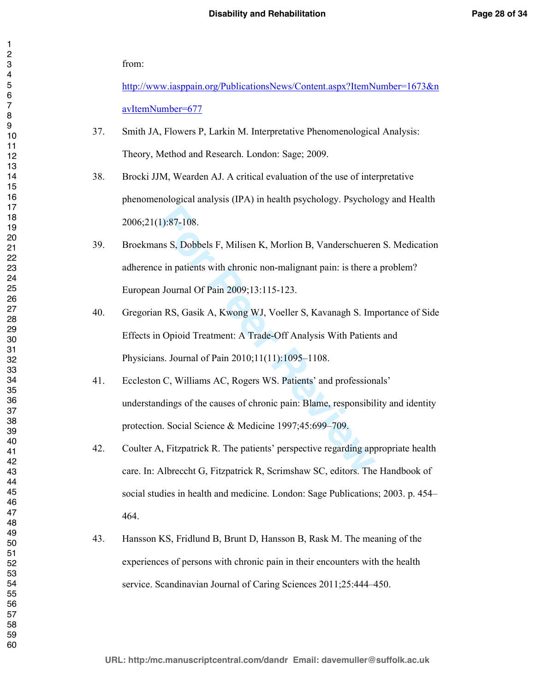from:

http://www.iasppain.org/PublicationsNews/Content.aspx?ItemNumber=1673&n avItemNumber=677

- 37. Smith JA, Flowers P, Larkin M. Interpretative Phenomenological Analysis: Theory, Method and Research. London: Sage; 2009.
- 38. Brocki JJM, Wearden AJ. A critical evaluation of the use of interpretative phenomenological analysis (IPA) in health psychology. Psychology and Health 2006;21(1):87-108.
- 39. Broekmans S, Dobbels F, Milisen K, Morlion B, Vanderschueren S. Medication adherence in patients with chronic non-malignant pain: is there a problem? European Journal Of Pain 2009;13:115-123.
- 40. Gregorian RS, Gasik A, Kwong WJ, Voeller S, Kavanagh S. Importance of Side Effects in Opioid Treatment: A Trade-Off Analysis With Patients and Physicians. Journal of Pain 2010;11(11):1095–1108.
- 1):87-108.<br>
Ins S, Dobbels F, Milisen K, Morlion B, Vanderschuere<br>
e in patients with chronic non-malignant pain: is there a<br>
1 Journal Of Pain 2009;13:115-123.<br>
In RS, Gasik A, Kwong WJ, Voeller S, Kavanagh S. Im<br>
1 Opioi 41. Eccleston C, Williams AC, Rogers WS. Patients' and professionals' understandings of the causes of chronic pain: Blame, responsibility and identity protection. Social Science & Medicine 1997;45:699–709.
- 42. Coulter A, Fitzpatrick R. The patients' perspective regarding appropriate health care. In: Albreccht G, Fitzpatrick R, Scrimshaw SC, editors. The Handbook of social studies in health and medicine. London: Sage Publications; 2003. p. 454– 464.
- 43. Hansson KS, Fridlund B, Brunt D, Hansson B, Rask M. The meaning of the experiences of persons with chronic pain in their encounters with the health service. Scandinavian Journal of Caring Sciences 2011;25:444–450.

 $\mathbf{1}$  $\overline{c}$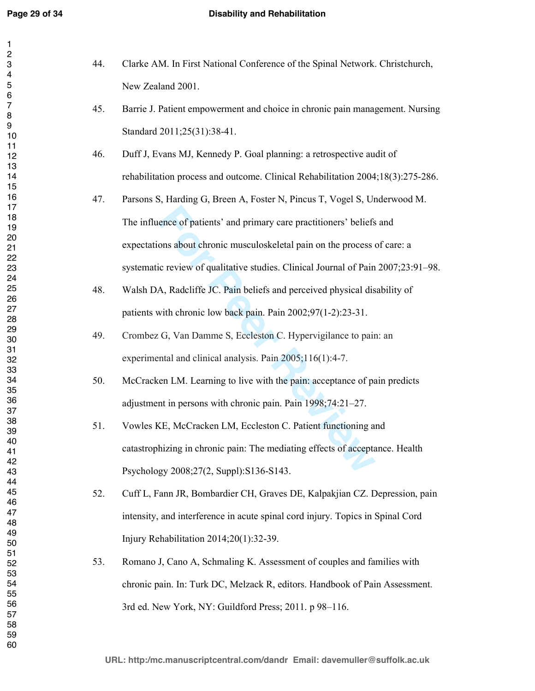$\mathbf{1}$  $\overline{c}$  $\overline{\mathbf{4}}$  $\overline{7}$  $\boldsymbol{9}$ 

#### **Disability and Rehabilitation**

| 44. | Clarke AM. In First National Conference of the Spinal Network. Christchurch,      |
|-----|-----------------------------------------------------------------------------------|
|     | New Zealand 2001.                                                                 |
| 45. | Barrie J. Patient empowerment and choice in chronic pain management. Nursing      |
|     | Standard 2011;25(31):38-41.                                                       |
| 46. | Duff J, Evans MJ, Kennedy P. Goal planning: a retrospective audit of              |
|     | rehabilitation process and outcome. Clinical Rehabilitation 2004;18(3):275-286.   |
| 47. | Parsons S, Harding G, Breen A, Foster N, Pincus T, Vogel S, Underwood M.          |
|     | The influence of patients' and primary care practitioners' beliefs and            |
|     | expectations about chronic musculoskeletal pain on the process of care: a         |
|     | systematic review of qualitative studies. Clinical Journal of Pain 2007;23:91-98. |
| 48. | Walsh DA, Radcliffe JC. Pain beliefs and perceived physical disability of         |
|     | patients with chronic low back pain. Pain 2002;97(1-2):23-31.                     |
| 49. | Crombez G, Van Damme S, Eccleston C. Hypervigilance to pain: an                   |
|     | experimental and clinical analysis. Pain 2005;116(1):4-7.                         |
| 50. | McCracken LM. Learning to live with the pain: acceptance of pain predicts         |
|     | adjustment in persons with chronic pain. Pain 1998;74:21-27.                      |
| 51. | Vowles KE, McCracken LM, Eccleston C. Patient functioning and                     |
|     | catastrophizing in chronic pain: The mediating effects of acceptance. Health      |
|     | Psychology 2008;27(2, Suppl):S136-S143.                                           |
| 52. | Cuff L, Fann JR, Bombardier CH, Graves DE, Kalpakjian CZ. Depression, pain        |
|     | intensity, and interference in acute spinal cord injury. Topics in Spinal Cord    |
|     | Injury Rehabilitation 2014;20(1):32-39.                                           |
| 53. | Romano J, Cano A, Schmaling K. Assessment of couples and families with            |
|     | chronic pain. In: Turk DC, Melzack R, editors. Handbook of Pain Assessment.       |
|     | 3rd ed. New York, NY: Guildford Press; 2011. p 98-116.                            |
|     |                                                                                   |
|     |                                                                                   |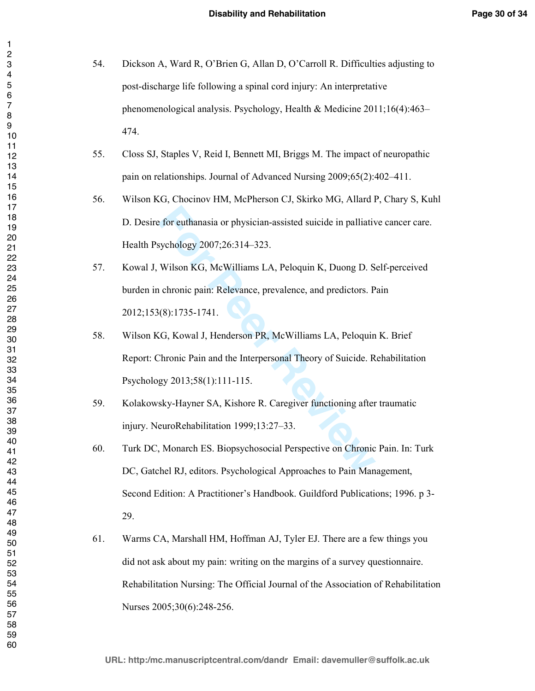| 54. | Dickson A, Ward R, O'Brien G, Allan D, O'Carroll R. Difficulties adjusting to |
|-----|-------------------------------------------------------------------------------|
|     | post-discharge life following a spinal cord injury: An interpretative         |
|     | phenomenological analysis. Psychology, Health & Medicine $2011;16(4):463-$    |
|     | 474                                                                           |

- 55. Closs SJ, Staples V, Reid I, Bennett MI, Briggs M. The impact of neuropathic pain on relationships. Journal of Advanced Nursing 2009;65(2):402–411.
- 56. Wilson KG, Chocinov HM, McPherson CJ, Skirko MG, Allard P, Chary S, Kuhl D. Desire for euthanasia or physician-assisted suicide in palliative cancer care. Health Psychology 2007;26:314–323.
- 57. Kowal J, Wilson KG, McWilliams LA, Peloquin K, Duong D. Self-perceived burden in chronic pain: Relevance, prevalence, and predictors. Pain 2012;153(8):1735-1741.
- For euthanasia or physician-assisted suicide in palliative<br>sychology 2007;26:314–323.<br>Wilson KG, McWilliams LA, Peloquin K, Duong D. S<br>achronic pain: Relevance, prevalence, and predictors. P<br>(8):1735-1741.<br>G, Kowal J, Hend 58. Wilson KG, Kowal J, Henderson PR, McWilliams LA, Peloquin K. Brief Report: Chronic Pain and the Interpersonal Theory of Suicide. Rehabilitation Psychology 2013;58(1):111-115.
- 59. Kolakowsky-Hayner SA, Kishore R. Caregiver functioning after traumatic injury. NeuroRehabilitation 1999;13:27–33.
- 60. Turk DC, Monarch ES. Biopsychosocial Perspective on Chronic Pain. In: Turk DC, Gatchel RJ, editors. Psychological Approaches to Pain Management, Second Edition: A Practitioner's Handbook. Guildford Publications; 1996. p 3- 29.
- 61. Warms CA, Marshall HM, Hoffman AJ, Tyler EJ. There are a few things you did not ask about my pain: writing on the margins of a survey questionnaire. Rehabilitation Nursing: The Official Journal of the Association of Rehabilitation Nurses 2005;30(6):248-256.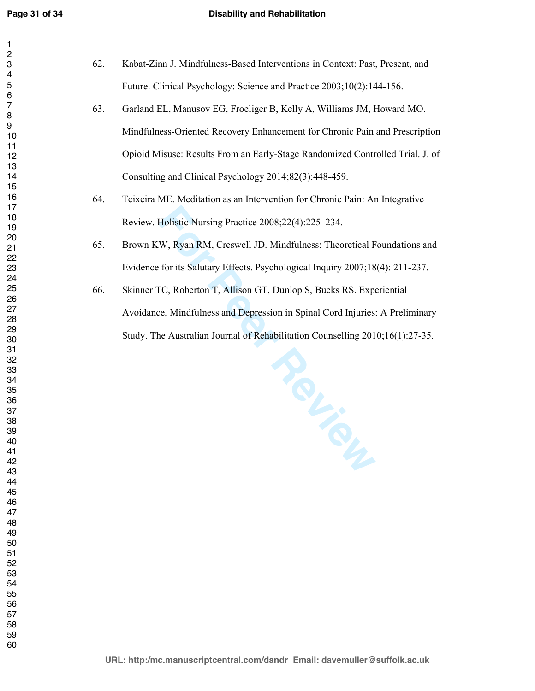#### **Disability and Rehabilitation**

| 62. | Kabat-Zinn J. Mindfulness-Based Interventions in Context: Past, Present, and |
|-----|------------------------------------------------------------------------------|
|     | Future. Clinical Psychology: Science and Practice 2003;10(2):144-156.        |

- 63. Garland EL, Manusov EG, Froeliger B, Kelly A, Williams JM, Howard MO. Mindfulness-Oriented Recovery Enhancement for Chronic Pain and Prescription Opioid Misuse: Results From an Early-Stage Randomized Controlled Trial. J. of Consulting and Clinical Psychology 2014;82(3):448-459.
- 64. Teixeira ME. Meditation as an Intervention for Chronic Pain: An Integrative Review. Holistic Nursing Practice 2008;22(4):225–234.
- 65. Brown KW, Ryan RM, Creswell JD. Mindfulness: Theoretical Foundations and Evidence for its Salutary Effects. Psychological Inquiry 2007;18(4): 211-237.
- 66. Skinner TC, Roberton T, Allison GT, Dunlop S, Bucks RS. Experiential Avoidance, Mindfulness and Depression in Spinal Cord Injuries: A Preliminary Study. The Australian Journal of Rehabilitation Counselling 2010;16(1):27-35.

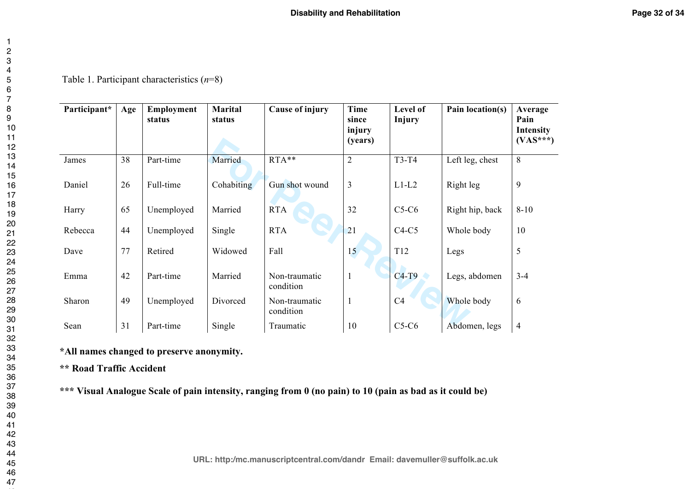## Table 1. Participant characteristics (*n*=8)

| Participant* | Age | Employment<br>status | <b>Marital</b><br>status | Cause of injury            | <b>Time</b><br>since<br>injury<br>(years) | Level of<br><b>Injury</b> | Pain location(s) | Average<br>Pain<br>Intensity<br>$(VAS***)$ |
|--------------|-----|----------------------|--------------------------|----------------------------|-------------------------------------------|---------------------------|------------------|--------------------------------------------|
| James        | 38  | Part-time            | Married                  | $RTA**$                    | $\overline{2}$                            | T3-T4                     | Left leg, chest  | 8                                          |
| Daniel       | 26  | Full-time            | Cohabiting               | Gun shot wound             | 3                                         | $L1-L2$                   | Right leg        | 9                                          |
| Harry        | 65  | Unemployed           | Married                  | <b>RTA</b>                 | 32                                        | $C5-C6$                   | Right hip, back  | $8 - 10$                                   |
| Rebecca      | 44  | Unemployed           | Single                   | <b>RTA</b>                 | 21                                        | $C4-C5$                   | Whole body       | 10                                         |
| Dave         | 77  | Retired              | Widowed                  | Fall                       | 15                                        | T <sub>12</sub>           | Legs             | 5                                          |
| Emma         | 42  | Part-time            | Married                  | Non-traumatic<br>condition | $\mathbf{I}$                              | <b>C4-T9</b>              | Legs, abdomen    | $3 - 4$                                    |
| Sharon       | 49  | Unemployed           | Divorced                 | Non-traumatic<br>condition | 1                                         | C <sub>4</sub>            | Whole body       | 6                                          |
| Sean         | 31  | Part-time            | Single                   | Traumatic                  | 10                                        | $C5-C6$                   | Abdomen, legs    | $\overline{4}$                             |

**\*All names changed to preserve anonymity.** 

**\*\* Road Traffic Accident**

**\*\*\* Visual Analogue Scale of pain intensity, ranging from 0 (no pain) to 10 (pain as bad as it could be)**

**URL: http:/mc.manuscriptcentral.com/dandr Email: davemuller@suffolk.ac.uk**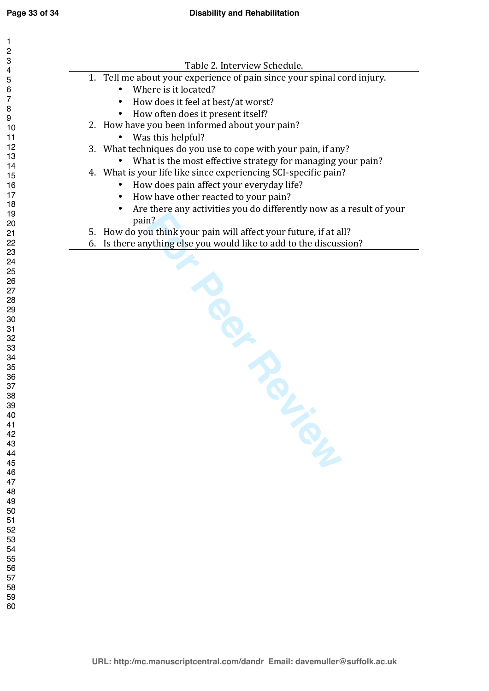$\mathbf{1}$ 

| 1                                         |  |
|-------------------------------------------|--|
|                                           |  |
|                                           |  |
|                                           |  |
|                                           |  |
|                                           |  |
|                                           |  |
|                                           |  |
|                                           |  |
|                                           |  |
|                                           |  |
|                                           |  |
|                                           |  |
|                                           |  |
|                                           |  |
|                                           |  |
|                                           |  |
|                                           |  |
|                                           |  |
|                                           |  |
|                                           |  |
|                                           |  |
|                                           |  |
|                                           |  |
|                                           |  |
|                                           |  |
| 43456789111234567890123456789012334566789 |  |
|                                           |  |
|                                           |  |
|                                           |  |
|                                           |  |
|                                           |  |
|                                           |  |
|                                           |  |
|                                           |  |
|                                           |  |
|                                           |  |
| 40                                        |  |
| 41                                        |  |
| 42                                        |  |
| 43<br>3                                   |  |
| 44<br>45                                  |  |
| 46                                        |  |
| 47                                        |  |
| 48<br>3                                   |  |
| 49                                        |  |
| 50                                        |  |
| 51                                        |  |
| 52                                        |  |
| 53<br>3                                   |  |
| 54                                        |  |
| 55                                        |  |
| 56                                        |  |
| 57                                        |  |
| 58                                        |  |
| 59                                        |  |
| 60                                        |  |

Table 2. Interview Schedule. 1. Tell me about your experience of pain since your spinal cord injury. • Where is it located? • How does it feel at best/at worst? • How often does it present itself? 2. How have you been informed about your pain?  $\bullet$  Was this helpful? 3. What techniques do you use to cope with your pain, if any? • What is the most effective strategy for managing your pain?

- 4. What is your life like since experiencing SCI-specific pain?
	- How does pain affect your everyday life?
	- How have other reacted to your pain?
	- Are there any activities you do differently now as a result of your pain?
- 5. How do you think your pain will affect your future, if at all?
- **For Periodic Reviews** 6. Is there anything else you would like to add to the discussion?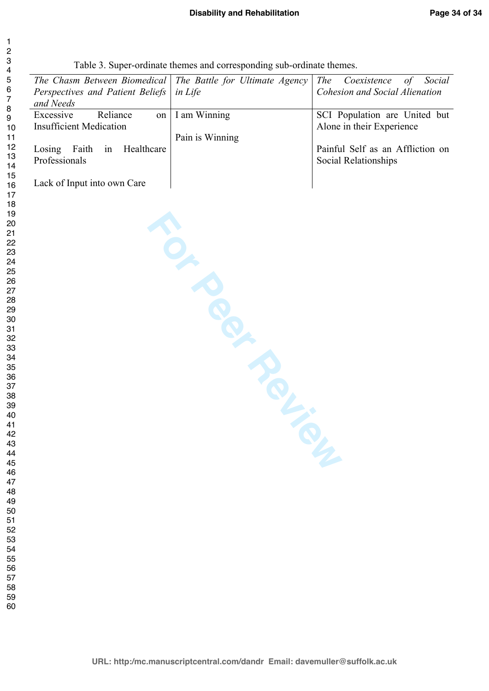#### **Disability and Rehabilitation**

| The Chasm Between Biomedical<br>Perspectives and Patient Beliefs<br>and Needs                                      | The Battle for Ultimate Agency<br>in Life | Social<br><b>The</b><br>Coexistence<br>of<br>Cohesion and Social Alienation                                            |
|--------------------------------------------------------------------------------------------------------------------|-------------------------------------------|------------------------------------------------------------------------------------------------------------------------|
| Reliance<br>Excessive<br>on<br><b>Insufficient Medication</b><br>Healthcare<br>Losing Faith<br>in<br>Professionals | I am Winning<br>Pain is Winning           | SCI Population are United but<br>Alone in their Experience<br>Painful Self as an Affliction on<br>Social Relationships |
| Lack of Input into own Care                                                                                        |                                           |                                                                                                                        |
|                                                                                                                    |                                           |                                                                                                                        |
|                                                                                                                    | TON BOOM                                  |                                                                                                                        |